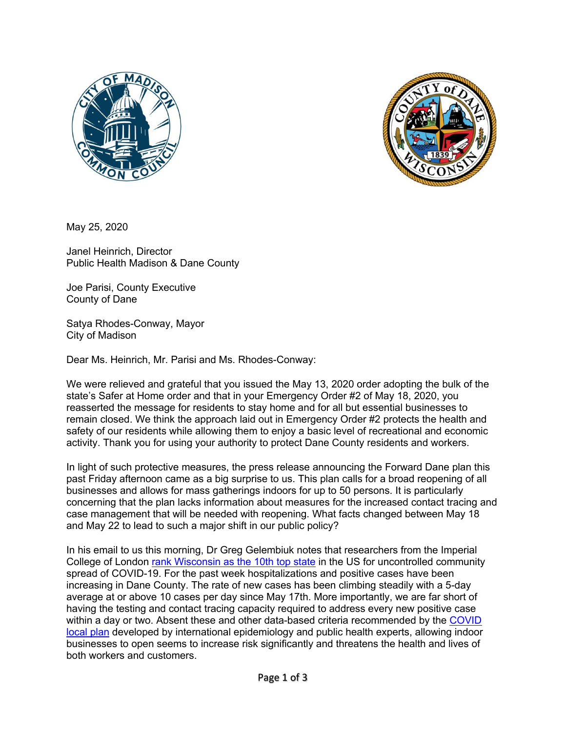



May 25, 2020

Janel Heinrich, Director Public Health Madison & Dane County

Joe Parisi, County Executive County of Dane

Satya Rhodes-Conway, Mayor City of Madison

Dear Ms. Heinrich, Mr. Parisi and Ms. Rhodes-Conway:

We were relieved and grateful that you issued the May 13, 2020 order adopting the bulk of the state's Safer at Home order and that in your Emergency Order #2 of May 18, 2020, you reasserted the message for residents to stay home and for all but essential businesses to remain closed. We think the approach laid out in Emergency Order #2 protects the health and safety of our residents while allowing them to enjoy a basic level of recreational and economic activity. Thank you for using your authority to protect Dane County residents and workers.

In light of such protective measures, the press release announcing the Forward Dane plan this past Friday afternoon came as a big surprise to us. This plan calls for a broad reopening of all businesses and allows for mass gatherings indoors for up to 50 persons. It is particularly concerning that the plan lacks information about measures for the increased contact tracing and case management that will be needed with reopening. What facts changed between May 18 and May 22 to lead to such a major shift in our public policy?

In his email to us this morning, Dr Greg Gelembiuk notes that researchers from the Imperial College of London rank Wisconsin as the 10th top state in the US for uncontrolled community spread of COVID-19. For the past week hospitalizations and positive cases have been increasing in Dane County. The rate of new cases has been climbing steadily with a 5-day average at or above 10 cases per day since May 17th. More importantly, we are far short of having the testing and contact tracing capacity required to address every new positive case within a day or two. Absent these and other data-based criteria recommended by the COVID local plan developed by international epidemiology and public health experts, allowing indoor businesses to open seems to increase risk significantly and threatens the health and lives of both workers and customers.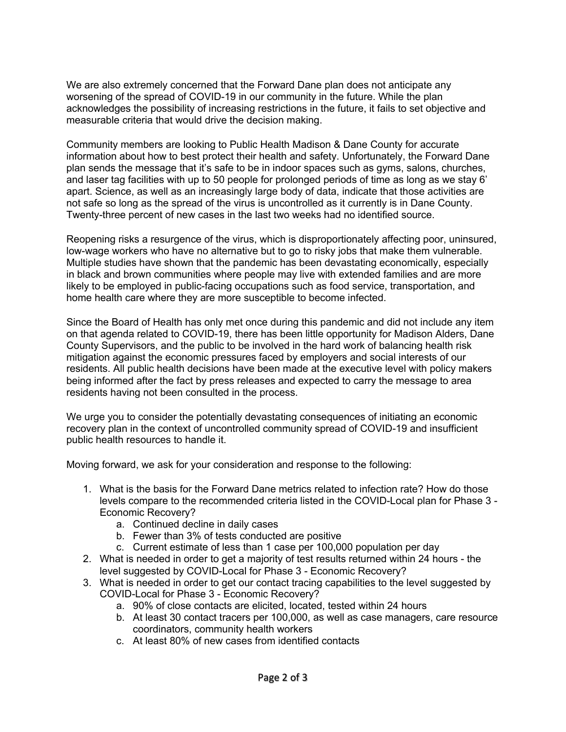We are also extremely concerned that the Forward Dane plan does not anticipate any worsening of the spread of COVID-19 in our community in the future. While the plan acknowledges the possibility of increasing restrictions in the future, it fails to set objective and measurable criteria that would drive the decision making.

Community members are looking to Public Health Madison & Dane County for accurate information about how to best protect their health and safety. Unfortunately, the Forward Dane plan sends the message that it's safe to be in indoor spaces such as gyms, salons, churches, and laser tag facilities with up to 50 people for prolonged periods of time as long as we stay 6' apart. Science, as well as an increasingly large body of data, indicate that those activities are not safe so long as the spread of the virus is uncontrolled as it currently is in Dane County. Twenty-three percent of new cases in the last two weeks had no identified source.

Reopening risks a resurgence of the virus, which is disproportionately affecting poor, uninsured, low-wage workers who have no alternative but to go to risky jobs that make them vulnerable. Multiple studies have shown that the pandemic has been devastating economically, especially in black and brown communities where people may live with extended families and are more likely to be employed in public-facing occupations such as food service, transportation, and home health care where they are more susceptible to become infected.

Since the Board of Health has only met once during this pandemic and did not include any item on that agenda related to COVID-19, there has been little opportunity for Madison Alders, Dane County Supervisors, and the public to be involved in the hard work of balancing health risk mitigation against the economic pressures faced by employers and social interests of our residents. All public health decisions have been made at the executive level with policy makers being informed after the fact by press releases and expected to carry the message to area residents having not been consulted in the process.

We urge you to consider the potentially devastating consequences of initiating an economic recovery plan in the context of uncontrolled community spread of COVID-19 and insufficient public health resources to handle it.

Moving forward, we ask for your consideration and response to the following:

- 1. What is the basis for the Forward Dane metrics related to infection rate? How do those levels compare to the recommended criteria listed in the COVID-Local plan for Phase 3 - Economic Recovery?
	- a. Continued decline in daily cases
	- b. Fewer than 3% of tests conducted are positive
	- c. Current estimate of less than 1 case per 100,000 population per day
- 2. What is needed in order to get a majority of test results returned within 24 hours the level suggested by COVID-Local for Phase 3 - Economic Recovery?
- 3. What is needed in order to get our contact tracing capabilities to the level suggested by COVID-Local for Phase 3 - Economic Recovery?
	- a. 90% of close contacts are elicited, located, tested within 24 hours
	- b. At least 30 contact tracers per 100,000, as well as case managers, care resource coordinators, community health workers
	- c. At least 80% of new cases from identified contacts